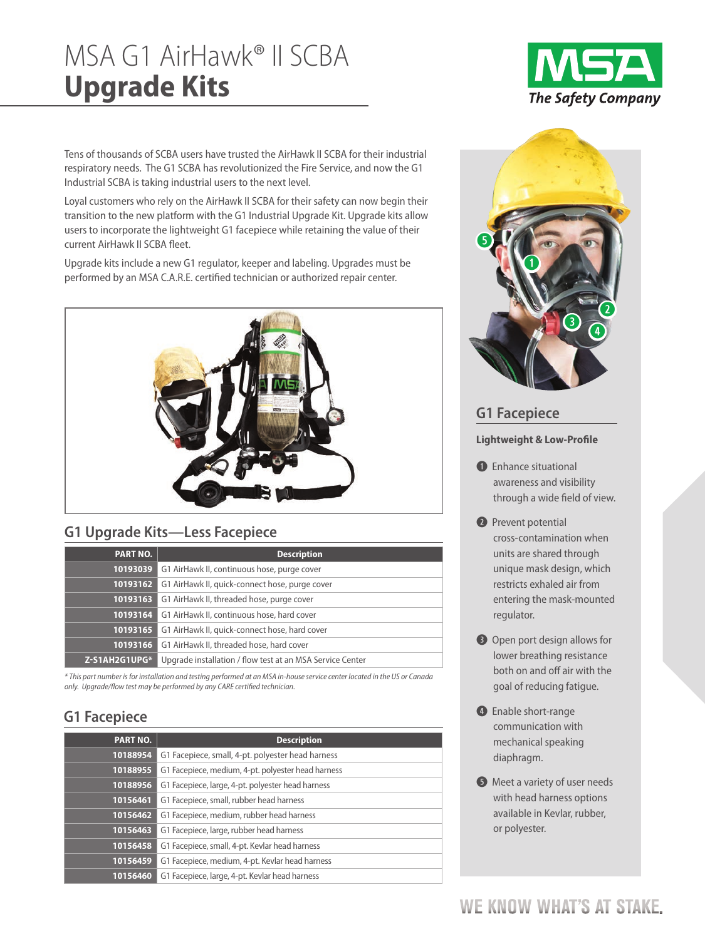# MSA G1 AirHawk® II SCBA **Upgrade Kits**

Tens of thousands of SCBA users have trusted the AirHawk II SCBA for their industrial respiratory needs. The G1 SCBA has revolutionized the Fire Service, and now the G1 Industrial SCBA is taking industrial users to the next level.

Loyal customers who rely on the AirHawk II SCBA for their safety can now begin their transition to the new platform with the G1 Industrial Upgrade Kit. Upgrade kits allow users to incorporate the lightweight G1 facepiece while retaining the value of their current AirHawk II SCBA fleet.

Upgrade kits include a new G1 regulator, keeper and labeling. Upgrades must be performed by an MSA C.A.R.E. certified technician or authorized repair center.



## **G1 Upgrade Kits—Less Facepiece**

| <b>PART NO.</b> | <b>Description</b>                                        |  |
|-----------------|-----------------------------------------------------------|--|
|                 | 10193039 G1 AirHawk II, continuous hose, purge cover      |  |
| 10193162        | G1 AirHawk II, quick-connect hose, purge cover            |  |
|                 | <b>10193163</b> G1 AirHawk II, threaded hose, purge cover |  |
|                 | 10193164 G1 AirHawk II, continuous hose, hard cover       |  |
| 10193165        | G1 AirHawk II, quick-connect hose, hard cover             |  |
|                 | 10193166 G1 AirHawk II, threaded hose, hard cover         |  |
| Z-S1AH2G1UPG*   | Upgrade installation / flow test at an MSA Service Center |  |

\* This part number is for installation and testing performed at an MSA in-house service center located in the US or Canada only. Upgrade/flow test may be performed by any CARE certified technician.

## **G1 Facepiece**

| <b>PART NO.</b> | <b>Description</b>                                 |
|-----------------|----------------------------------------------------|
| 10188954        | G1 Facepiece, small, 4-pt. polyester head harness  |
| 10188955        | G1 Facepiece, medium, 4-pt. polyester head harness |
| 10188956        | G1 Facepiece, large, 4-pt. polyester head harness  |
| 10156461        | G1 Facepiece, small, rubber head harness           |
| 10156462        | G1 Facepiece, medium, rubber head harness          |
| 10156463        | G1 Facepiece, large, rubber head harness           |
| 10156458        | G1 Facepiece, small, 4-pt. Kevlar head harness     |
| 10156459        | G1 Facepiece, medium, 4-pt. Kevlar head harness    |
| 10156460        | G1 Facepiece, large, 4-pt. Kevlar head harness     |





## **G1 Facepiece**

### **Lightweight & Low-Profile**

- **q** Enhance situational awareness and visibility through a wide field of view.
- **2** Prevent potential cross-contamination when units are shared through unique mask design, which restricts exhaled air from entering the mask-mounted regulator.
- **a** Open port design allows for lower breathing resistance both on and off air with the goal of reducing fatigue.
- **4** Enable short-range communication with mechanical speaking diaphragm.
- **b** Meet a variety of user needs with head harness options available in Kevlar, rubber, or polyester.